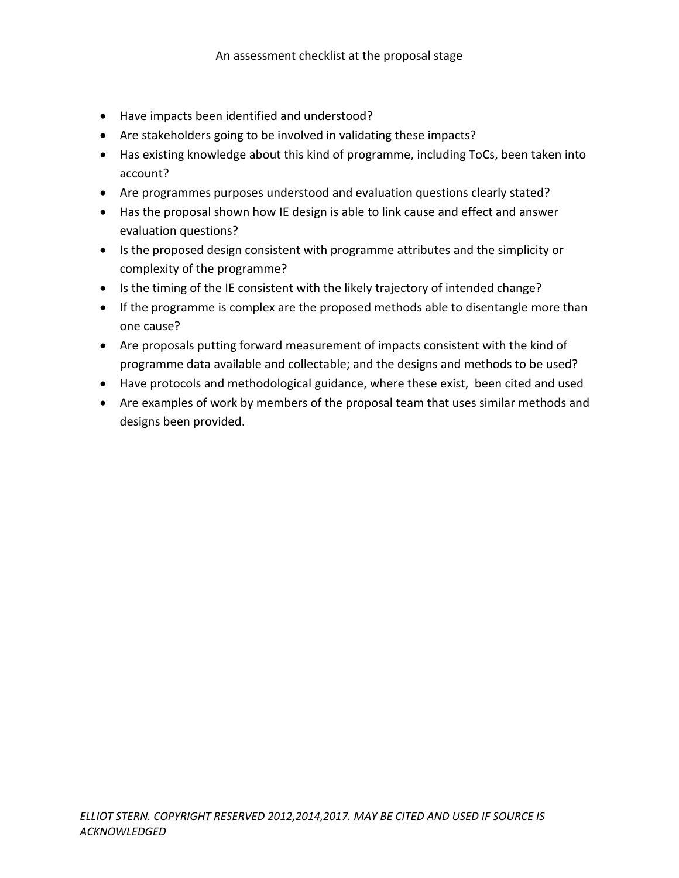- Have impacts been identified and understood?
- Are stakeholders going to be involved in validating these impacts?
- Has existing knowledge about this kind of programme, including ToCs, been taken into account?
- Are programmes purposes understood and evaluation questions clearly stated?
- Has the proposal shown how IE design is able to link cause and effect and answer evaluation questions?
- Is the proposed design consistent with programme attributes and the simplicity or complexity of the programme?
- Is the timing of the IE consistent with the likely trajectory of intended change?
- If the programme is complex are the proposed methods able to disentangle more than one cause?
- Are proposals putting forward measurement of impacts consistent with the kind of programme data available and collectable; and the designs and methods to be used?
- Have protocols and methodological guidance, where these exist, been cited and used
- Are examples of work by members of the proposal team that uses similar methods and designs been provided.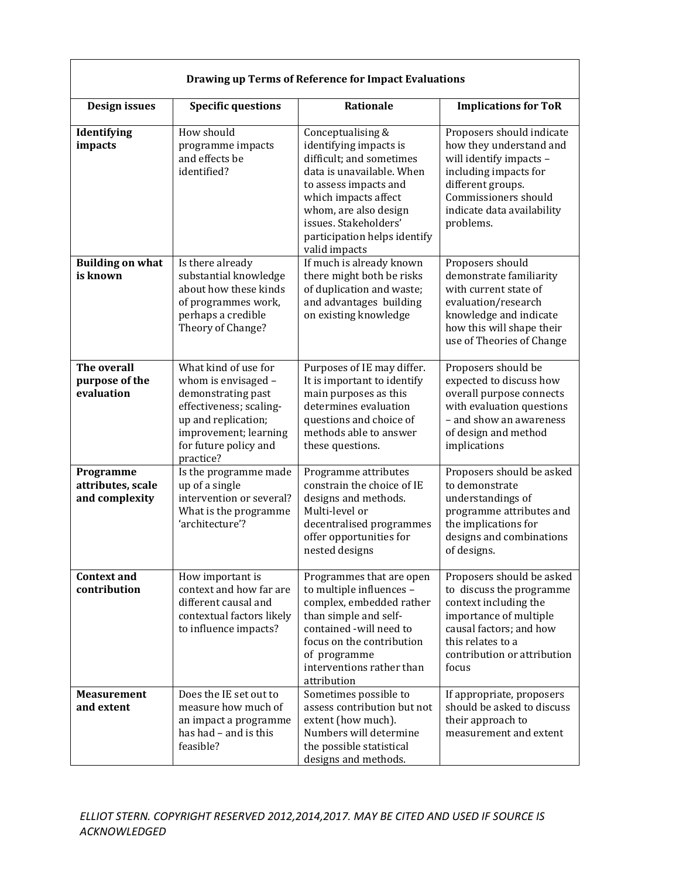| <b>Drawing up Terms of Reference for Impact Evaluations</b> |                                                                                                                                                                                    |                                                                                                                                                                                                                                                          |                                                                                                                                                                                                  |
|-------------------------------------------------------------|------------------------------------------------------------------------------------------------------------------------------------------------------------------------------------|----------------------------------------------------------------------------------------------------------------------------------------------------------------------------------------------------------------------------------------------------------|--------------------------------------------------------------------------------------------------------------------------------------------------------------------------------------------------|
| Design issues                                               | <b>Specific questions</b>                                                                                                                                                          | <b>Rationale</b>                                                                                                                                                                                                                                         | <b>Implications for ToR</b>                                                                                                                                                                      |
| Identifying<br>impacts                                      | How should<br>programme impacts<br>and effects be<br>identified?                                                                                                                   | Conceptualising &<br>identifying impacts is<br>difficult; and sometimes<br>data is unavailable. When<br>to assess impacts and<br>which impacts affect<br>whom, are also design<br>issues. Stakeholders'<br>participation helps identify<br>valid impacts | Proposers should indicate<br>how they understand and<br>will identify impacts -<br>including impacts for<br>different groups.<br>Commissioners should<br>indicate data availability<br>problems. |
| <b>Building on what</b><br>is known                         | Is there already<br>substantial knowledge<br>about how these kinds<br>of programmes work,<br>perhaps a credible<br>Theory of Change?                                               | If much is already known<br>there might both be risks<br>of duplication and waste;<br>and advantages building<br>on existing knowledge                                                                                                                   | Proposers should<br>demonstrate familiarity<br>with current state of<br>evaluation/research<br>knowledge and indicate<br>how this will shape their<br>use of Theories of Change                  |
| The overall<br>purpose of the<br>evaluation                 | What kind of use for<br>whom is envisaged -<br>demonstrating past<br>effectiveness; scaling-<br>up and replication;<br>improvement; learning<br>for future policy and<br>practice? | Purposes of IE may differ.<br>It is important to identify<br>main purposes as this<br>determines evaluation<br>questions and choice of<br>methods able to answer<br>these questions.                                                                     | Proposers should be<br>expected to discuss how<br>overall purpose connects<br>with evaluation questions<br>- and show an awareness<br>of design and method<br>implications                       |
| Programme<br>attributes, scale<br>and complexity            | Is the programme made<br>up of a single<br>intervention or several?<br>What is the programme<br>'architecture'?                                                                    | Programme attributes<br>constrain the choice of IE<br>designs and methods.<br>Multi-level or<br>decentralised programmes<br>offer opportunities for<br>nested designs                                                                                    | Proposers should be asked<br>to demonstrate<br>understandings of<br>programme attributes and<br>the implications for<br>designs and combinations<br>of designs.                                  |
| <b>Context and</b><br>contribution                          | How important is<br>context and how far are<br>different causal and<br>contextual factors likely<br>to influence impacts?                                                          | Programmes that are open<br>to multiple influences -<br>complex, embedded rather<br>than simple and self-<br>contained -will need to<br>focus on the contribution<br>of programme<br>interventions rather than<br>attribution                            | Proposers should be asked<br>to discuss the programme<br>context including the<br>importance of multiple<br>causal factors; and how<br>this relates to a<br>contribution or attribution<br>focus |
| <b>Measurement</b><br>and extent                            | Does the IE set out to<br>measure how much of<br>an impact a programme<br>has had - and is this<br>feasible?                                                                       | Sometimes possible to<br>assess contribution but not<br>extent (how much).<br>Numbers will determine<br>the possible statistical<br>designs and methods.                                                                                                 | If appropriate, proposers<br>should be asked to discuss<br>their approach to<br>measurement and extent                                                                                           |

 $\sqrt{ }$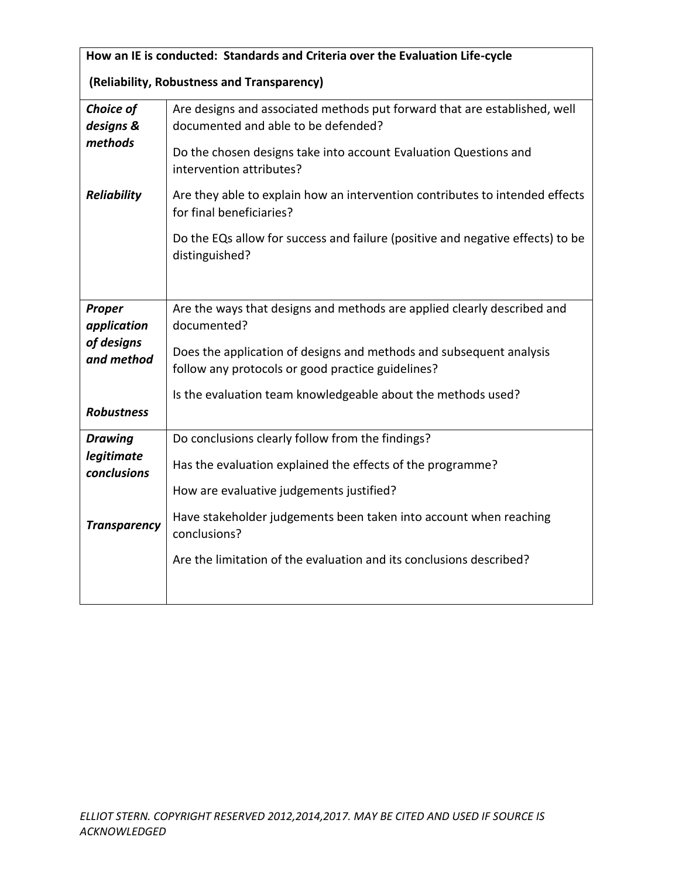| How an IE is conducted: Standards and Criteria over the Evaluation Life-cycle |                                                                                                                          |  |  |
|-------------------------------------------------------------------------------|--------------------------------------------------------------------------------------------------------------------------|--|--|
| (Reliability, Robustness and Transparency)                                    |                                                                                                                          |  |  |
| Choice of<br>designs &                                                        | Are designs and associated methods put forward that are established, well<br>documented and able to be defended?         |  |  |
| methods                                                                       | Do the chosen designs take into account Evaluation Questions and<br>intervention attributes?                             |  |  |
| <b>Reliability</b>                                                            | Are they able to explain how an intervention contributes to intended effects<br>for final beneficiaries?                 |  |  |
|                                                                               | Do the EQs allow for success and failure (positive and negative effects) to be<br>distinguished?                         |  |  |
| Proper<br>application                                                         | Are the ways that designs and methods are applied clearly described and<br>documented?                                   |  |  |
| of designs<br>and method                                                      | Does the application of designs and methods and subsequent analysis<br>follow any protocols or good practice guidelines? |  |  |
| <b>Robustness</b>                                                             | Is the evaluation team knowledgeable about the methods used?                                                             |  |  |
| <b>Drawing</b>                                                                | Do conclusions clearly follow from the findings?                                                                         |  |  |
| legitimate<br>conclusions                                                     | Has the evaluation explained the effects of the programme?                                                               |  |  |
|                                                                               | How are evaluative judgements justified?                                                                                 |  |  |
| <b>Transparency</b>                                                           | Have stakeholder judgements been taken into account when reaching<br>conclusions?                                        |  |  |
|                                                                               | Are the limitation of the evaluation and its conclusions described?                                                      |  |  |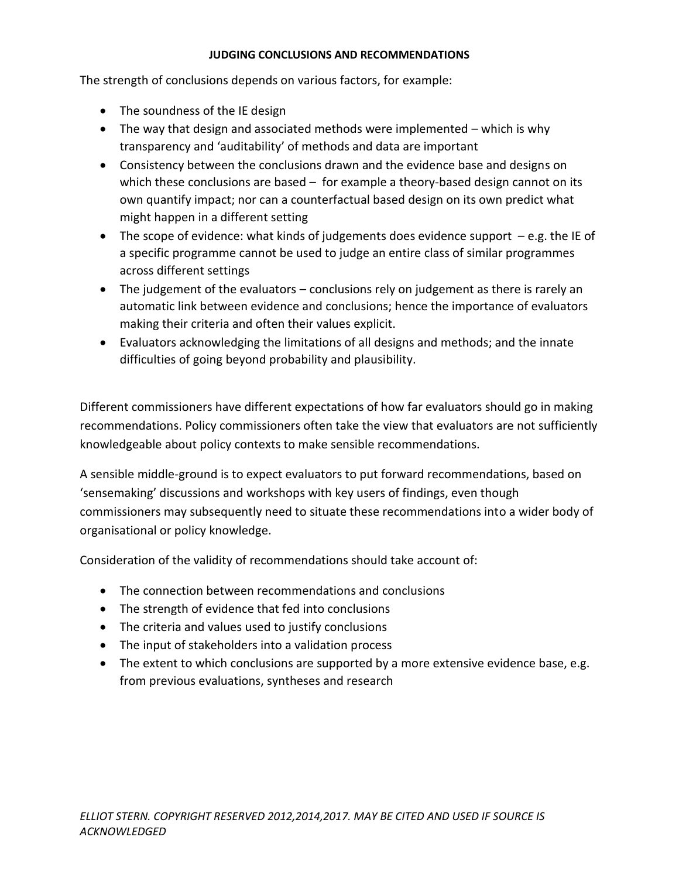## **JUDGING CONCLUSIONS AND RECOMMENDATIONS**

The strength of conclusions depends on various factors, for example:

- The soundness of the IE design
- The way that design and associated methods were implemented which is why transparency and 'auditability' of methods and data are important
- Consistency between the conclusions drawn and the evidence base and designs on which these conclusions are based - for example a theory-based design cannot on its own quantify impact; nor can a counterfactual based design on its own predict what might happen in a different setting
- The scope of evidence: what kinds of judgements does evidence support e.g. the IE of a specific programme cannot be used to judge an entire class of similar programmes across different settings
- The judgement of the evaluators conclusions rely on judgement as there is rarely an automatic link between evidence and conclusions; hence the importance of evaluators making their criteria and often their values explicit.
- Evaluators acknowledging the limitations of all designs and methods; and the innate difficulties of going beyond probability and plausibility.

Different commissioners have different expectations of how far evaluators should go in making recommendations. Policy commissioners often take the view that evaluators are not sufficiently knowledgeable about policy contexts to make sensible recommendations.

A sensible middle-ground is to expect evaluators to put forward recommendations, based on 'sensemaking' discussions and workshops with key users of findings, even though commissioners may subsequently need to situate these recommendations into a wider body of organisational or policy knowledge.

Consideration of the validity of recommendations should take account of:

- The connection between recommendations and conclusions
- The strength of evidence that fed into conclusions
- The criteria and values used to justify conclusions
- The input of stakeholders into a validation process
- The extent to which conclusions are supported by a more extensive evidence base, e.g. from previous evaluations, syntheses and research